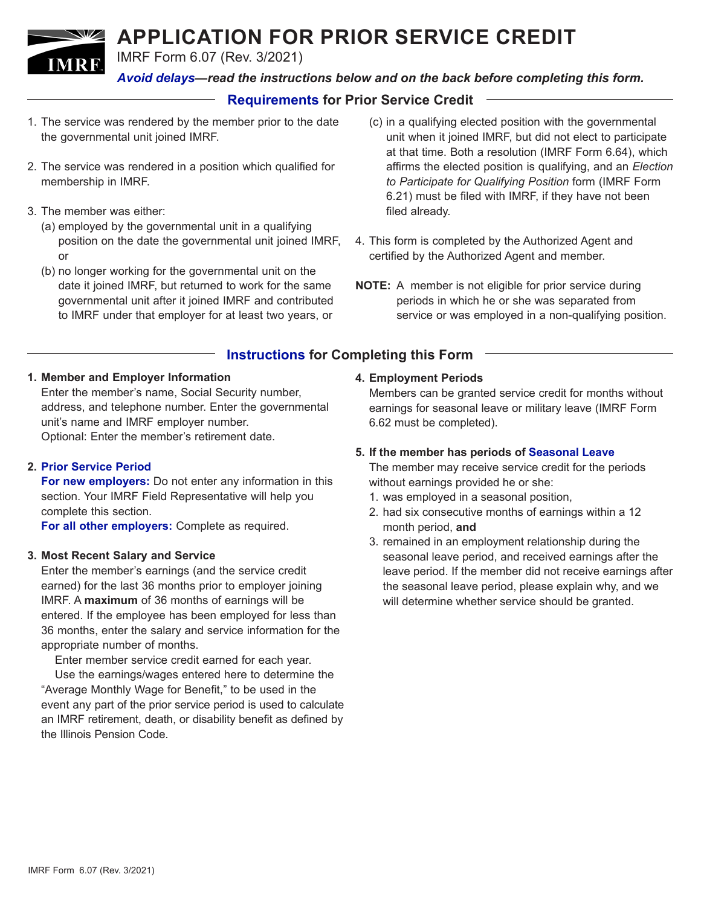# **APPLICATION FOR PRIOR SERVICE CREDIT**

IMRF Form 6.07 (Rev. 3/2021)

*Avoid delays—read the instructions below and on the back before completing this form.*

# **Requirements for Prior Service Credit**

- 1. The service was rendered by the member prior to the date the governmental unit joined IMRF.
- 2. The service was rendered in a position which qualified for membership in IMRF.
- 3. The member was either:

**IMRE** 

- (a) employed by the governmental unit in a qualifying position on the date the governmental unit joined IMRF, or
- (b) no longer working for the governmental unit on the date it joined IMRF, but returned to work for the same governmental unit after it joined IMRF and contributed to IMRF under that employer for at least two years, or
- (c) in a qualifying elected position with the governmental unit when it joined IMRF, but did not elect to participate at that time. Both a resolution (IMRF Form 6.64), which affirms the elected position is qualifying, and an *Election to Participate for Qualifying Position* form (IMRF Form 6.21) must be filed with IMRF, if they have not been filed already.
- 4. This form is completed by the Authorized Agent and certified by the Authorized Agent and member.
- **NOTE:** A member is not eligible for prior service during periods in which he or she was separated from service or was employed in a non-qualifying position.

# **Instructions for Completing this Form**

## **1. Member and Employer Information**

Enter the member's name, Social Security number, address, and telephone number. Enter the governmental unit's name and IMRF employer number. Optional: Enter the member's retirement date.

## **2. Prior Service Period**

**For new employers:** Do not enter any information in this section. Your IMRF Field Representative will help you complete this section.

**For all other employers:** Complete as required.

#### **3. Most Recent Salary and Service**

Enter the member's earnings (and the service credit earned) for the last 36 months prior to employer joining IMRF. A **maximum** of 36 months of earnings will be entered. If the employee has been employed for less than 36 months, enter the salary and service information for the appropriate number of months.

Enter member service credit earned for each year. Use the earnings/wages entered here to determine the "Average Monthly Wage for Benefit," to be used in the event any part of the prior service period is used to calculate an IMRF retirement, death, or disability benefit as defined by the Illinois Pension Code.

#### **4. Employment Periods**

Members can be granted service credit for months without earnings for seasonal leave or military leave (IMRF Form 6.62 must be completed).

#### **5. If the member has periods of Seasonal Leave**

The member may receive service credit for the periods without earnings provided he or she:

- 1. was employed in a seasonal position,
- 2. had six consecutive months of earnings within a 12 month period, **and**
- 3. remained in an employment relationship during the seasonal leave period, and received earnings after the leave period. If the member did not receive earnings after the seasonal leave period, please explain why, and we will determine whether service should be granted.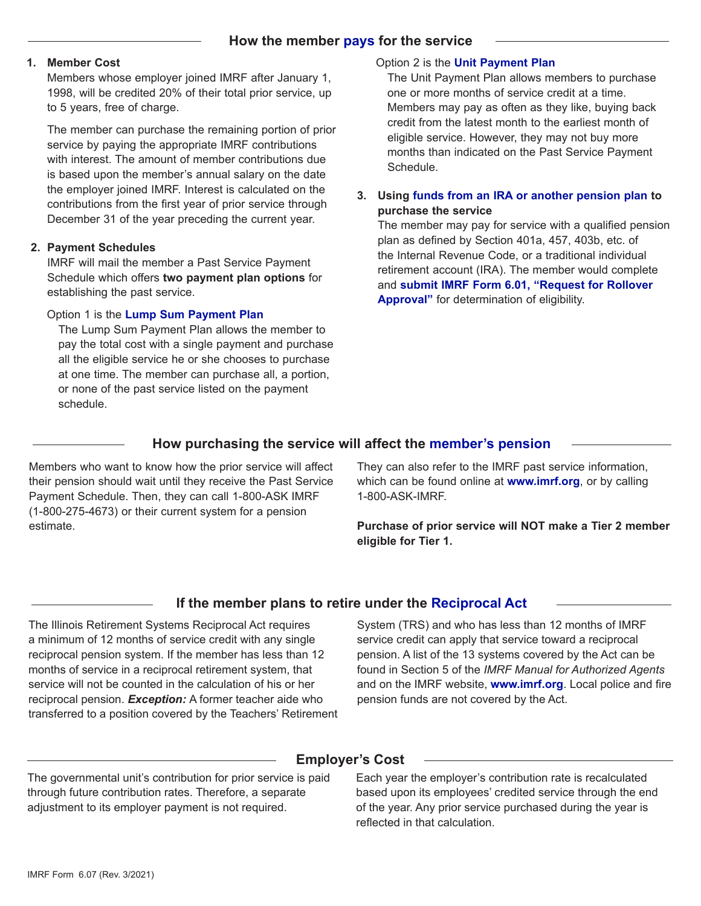#### **1. Member Cost**

Members whose employer joined IMRF after January 1, 1998, will be credited 20% of their total prior service, up to 5 years, free of charge.

The member can purchase the remaining portion of prior service by paying the appropriate IMRF contributions with interest. The amount of member contributions due is based upon the member's annual salary on the date the employer joined IMRF. Interest is calculated on the contributions from the first year of prior service through December 31 of the year preceding the current year.

#### **2. Payment Schedules**

IMRF will mail the member a Past Service Payment Schedule which offers **two payment plan options** for establishing the past service.

## Option 1 is the **Lump Sum Payment Plan**

The Lump Sum Payment Plan allows the member to pay the total cost with a single payment and purchase all the eligible service he or she chooses to purchase at one time. The member can purchase all, a portion, or none of the past service listed on the payment schedule.

## Option 2 is the **Unit Payment Plan**

The Unit Payment Plan allows members to purchase one or more months of service credit at a time. Members may pay as often as they like, buying back credit from the latest month to the earliest month of eligible service. However, they may not buy more months than indicated on the Past Service Payment Schedule.

## **3. Using funds from an IRA or another pension plan to purchase the service**

The member may pay for service with a qualified pension plan as defined by Section 401a, 457, 403b, etc. of the Internal Revenue Code, or a traditional individual retirement account (IRA). The member would complete and **submit IMRF Form 6.01, "Request for Rollover Approval"** for determination of eligibility.

# **How purchasing the service will affect the member's pension**

Members who want to know how the prior service will affect their pension should wait until they receive the Past Service Payment Schedule. Then, they can call 1-800-ASK IMRF (1-800-275-4673) or their current system for a pension estimate.

They can also refer to the IMRF past service information, which can be found online at **www.imrf.org**, or by calling 1-800-ASK-IMRF.

**Purchase of prior service will NOT make a Tier 2 member eligible for Tier 1.**

# **If the member plans to retire under the Reciprocal Act**

The Illinois Retirement Systems Reciprocal Act requires a minimum of 12 months of service credit with any single reciprocal pension system. If the member has less than 12 months of service in a reciprocal retirement system, that service will not be counted in the calculation of his or her reciprocal pension. *Exception:* A former teacher aide who transferred to a position covered by the Teachers' Retirement System (TRS) and who has less than 12 months of IMRF service credit can apply that service toward a reciprocal pension. A list of the 13 systems covered by the Act can be found in Section 5 of the *IMRF Manual for Authorized Agents*  and on the IMRF website, **www.imrf.org**. Local police and fire pension funds are not covered by the Act.

# **Employer's Cost**

The governmental unit's contribution for prior service is paid through future contribution rates. Therefore, a separate adjustment to its employer payment is not required.

Each year the employer's contribution rate is recalculated based upon its employees' credited service through the end of the year. Any prior service purchased during the year is reflected in that calculation.